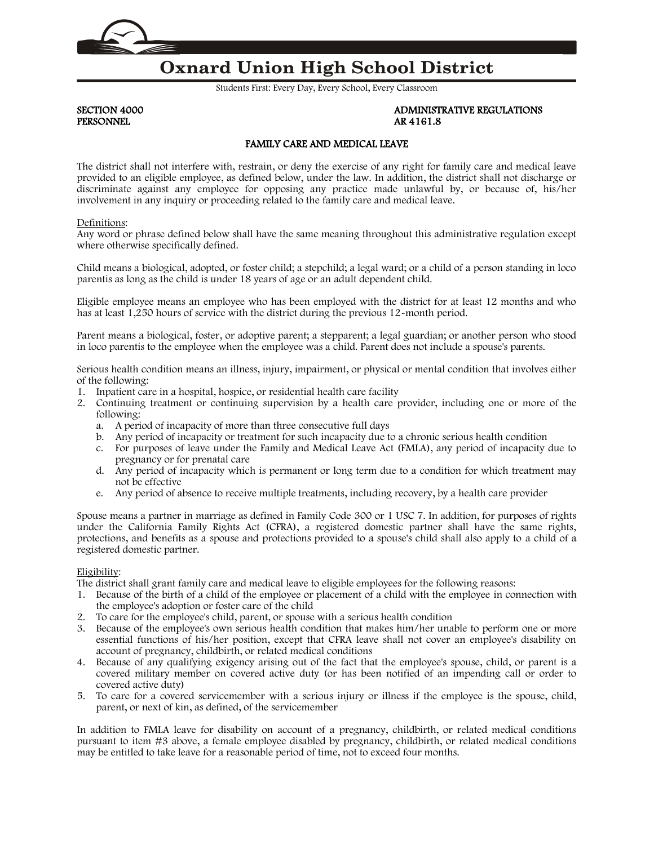

# **Oxnard Union High School District**

Students First: Every Day, Every School, Every Classroom

PERSONNEL AR 4161.8

# SECTION 4000 ADMINISTRATIVE REGULATIONS

## FAMILY CARE AND MEDICAL LEAVE

The district shall not interfere with, restrain, or deny the exercise of any right for family care and medical leave provided to an eligible employee, as defined below, under the law. In addition, the district shall not discharge or discriminate against any employee for opposing any practice made unlawful by, or because of, his/her involvement in any inquiry or proceeding related to the family care and medical leave.

#### Definitions:

Any word or phrase defined below shall have the same meaning throughout this administrative regulation except where otherwise specifically defined.

Child means a biological, adopted, or foster child; a stepchild; a legal ward; or a child of a person standing in loco parentis as long as the child is under 18 years of age or an adult dependent child.

Eligible employee means an employee who has been employed with the district for at least 12 months and who has at least 1,250 hours of service with the district during the previous 12-month period.

Parent means a biological, foster, or adoptive parent; a stepparent; a legal guardian; or another person who stood in loco parentis to the employee when the employee was a child. Parent does not include a spouse's parents.

Serious health condition means an illness, injury, impairment, or physical or mental condition that involves either of the following:

- 1. Inpatient care in a hospital, hospice, or residential health care facility
- 2. Continuing treatment or continuing supervision by a health care provider, including one or more of the following:
	- a. A period of incapacity of more than three consecutive full days
	- b. Any period of incapacity or treatment for such incapacity due to a chronic serious health condition
	- c. For purposes of leave under the Family and Medical Leave Act (FMLA), any period of incapacity due to pregnancy or for prenatal care
	- d. Any period of incapacity which is permanent or long term due to a condition for which treatment may not be effective
	- e. Any period of absence to receive multiple treatments, including recovery, by a health care provider

Spouse means a partner in marriage as defined in Family Code [300](http://www.gamutonline.net/displayPolicy/622236/4) or 1 USC 7. In addition, for purposes of rights under the California Family Rights Act (CFRA), a registered domestic partner shall have the same rights, protections, and benefits as a spouse and protections provided to a spouse's child shall also apply to a child of a registered domestic partner.

#### Eligibility:

The district shall grant family care and medical leave to eligible employees for the following reasons:

- 1. Because of the birth of a child of the employee or placement of a child with the employee in connection with the employee's adoption or foster care of the child
- 2. To care for the employee's child, parent, or spouse with a serious health condition
- 3. Because of the employee's own serious health condition that makes him/her unable to perform one or more essential functions of his/her position, except that CFRA leave shall not cover an employee's disability on account of pregnancy, childbirth, or related medical conditions
- 4. Because of any qualifying exigency arising out of the fact that the employee's spouse, child, or parent is a covered military member on covered active duty (or has been notified of an impending call or order to covered active duty)
- 5. To care for a covered servicemember with a serious injury or illness if the employee is the spouse, child, parent, or next of kin, as defined, of the servicemember

In addition to FMLA leave for disability on account of a pregnancy, childbirth, or related medical conditions pursuant to item #3 above, a female employee disabled by pregnancy, childbirth, or related medical conditions may be entitled to take leave for a reasonable period of time, not to exceed four months.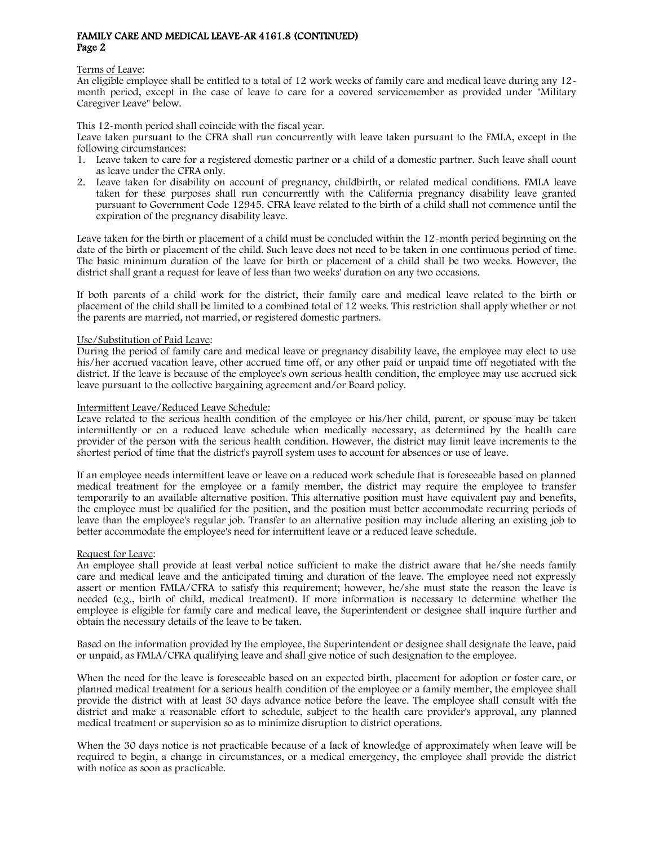#### Terms of Leave:

An eligible employee shall be entitled to a total of 12 work weeks of family care and medical leave during any 12 month period, except in the case of leave to care for a covered servicemember as provided under "Military Caregiver Leave" below.

This 12-month period shall coincide with the fiscal year.

Leave taken pursuant to the CFRA shall run concurrently with leave taken pursuant to the FMLA, except in the following circumstances:

- 1. Leave taken to care for a registered domestic partner or a child of a domestic partner. Such leave shall count as leave under the CFRA only.
- 2. Leave taken for disability on account of pregnancy, childbirth, or related medical conditions. FMLA leave taken for these purposes shall run concurrently with the California pregnancy disability leave granted pursuant to Government Code [12945.](http://www.gamutonline.net/displayPolicy/146412/4) CFRA leave related to the birth of a child shall not commence until the expiration of the pregnancy disability leave.

Leave taken for the birth or placement of a child must be concluded within the 12-month period beginning on the date of the birth or placement of the child. Such leave does not need to be taken in one continuous period of time. The basic minimum duration of the leave for birth or placement of a child shall be two weeks. However, the district shall grant a request for leave of less than two weeks' duration on any two occasions.

If both parents of a child work for the district, their family care and medical leave related to the birth or placement of the child shall be limited to a combined total of 12 weeks. This restriction shall apply whether or not the parents are married, not married, or registered domestic partners.

#### Use/Substitution of Paid Leave:

During the period of family care and medical leave or pregnancy disability leave, the employee may elect to use his/her accrued vacation leave, other accrued time off, or any other paid or unpaid time off negotiated with the district. If the leave is because of the employee's own serious health condition, the employee may use accrued sick leave pursuant to the collective bargaining agreement and/or Board policy.

## Intermittent Leave/Reduced Leave Schedule:

Leave related to the serious health condition of the employee or his/her child, parent, or spouse may be taken intermittently or on a reduced leave schedule when medically necessary, as determined by the health care provider of the person with the serious health condition. However, the district may limit leave increments to the shortest period of time that the district's payroll system uses to account for absences or use of leave.

If an employee needs intermittent leave or leave on a reduced work schedule that is foreseeable based on planned medical treatment for the employee or a family member, the district may require the employee to transfer temporarily to an available alternative position. This alternative position must have equivalent pay and benefits, the employee must be qualified for the position, and the position must better accommodate recurring periods of leave than the employee's regular job. Transfer to an alternative position may include altering an existing job to better accommodate the employee's need for intermittent leave or a reduced leave schedule.

#### Request for Leave:

An employee shall provide at least verbal notice sufficient to make the district aware that he/she needs family care and medical leave and the anticipated timing and duration of the leave. The employee need not expressly assert or mention FMLA/CFRA to satisfy this requirement; however, he/she must state the reason the leave is needed (e.g., birth of child, medical treatment). If more information is necessary to determine whether the employee is eligible for family care and medical leave, the Superintendent or designee shall inquire further and obtain the necessary details of the leave to be taken.

Based on the information provided by the employee, the Superintendent or designee shall designate the leave, paid or unpaid, as FMLA/CFRA qualifying leave and shall give notice of such designation to the employee.

When the need for the leave is foreseeable based on an expected birth, placement for adoption or foster care, or planned medical treatment for a serious health condition of the employee or a family member, the employee shall provide the district with at least 30 days advance notice before the leave. The employee shall consult with the district and make a reasonable effort to schedule, subject to the health care provider's approval, any planned medical treatment or supervision so as to minimize disruption to district operations.

When the 30 days notice is not practicable because of a lack of knowledge of approximately when leave will be required to begin, a change in circumstances, or a medical emergency, the employee shall provide the district with notice as soon as practicable.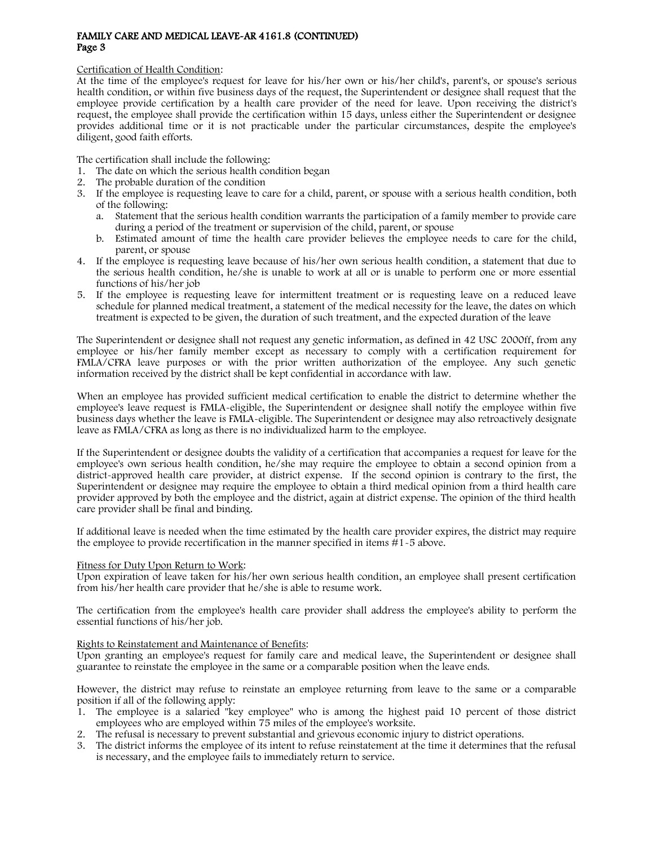#### Certification of Health Condition:

At the time of the employee's request for leave for his/her own or his/her child's, parent's, or spouse's serious health condition, or within five business days of the request, the Superintendent or designee shall request that the employee provide certification by a health care provider of the need for leave. Upon receiving the district's request, the employee shall provide the certification within 15 days, unless either the Superintendent or designee provides additional time or it is not practicable under the particular circumstances, despite the employee's diligent, good faith efforts.

The certification shall include the following:

- 1. The date on which the serious health condition began
- 2. The probable duration of the condition
- 3. If the employee is requesting leave to care for a child, parent, or spouse with a serious health condition, both of the following:
	- a. Statement that the serious health condition warrants the participation of a family member to provide care during a period of the treatment or supervision of the child, parent, or spouse
	- b. Estimated amount of time the health care provider believes the employee needs to care for the child, parent, or spouse
- 4. If the employee is requesting leave because of his/her own serious health condition, a statement that due to the serious health condition, he/she is unable to work at all or is unable to perform one or more essential functions of his/her job
- 5. If the employee is requesting leave for intermittent treatment or is requesting leave on a reduced leave schedule for planned medical treatment, a statement of the medical necessity for the leave, the dates on which treatment is expected to be given, the duration of such treatment, and the expected duration of the leave

The Superintendent or designee shall not request any genetic information, as defined in 42 USC [2000ff,](http://www.gamutonline.net/displayPolicy/605600/4) from any employee or his/her family member except as necessary to comply with a certification requirement for FMLA/CFRA leave purposes or with the prior written authorization of the employee. Any such genetic information received by the district shall be kept confidential in accordance with law.

When an employee has provided sufficient medical certification to enable the district to determine whether the employee's leave request is FMLA-eligible, the Superintendent or designee shall notify the employee within five business days whether the leave is FMLA-eligible. The Superintendent or designee may also retroactively designate leave as FMLA/CFRA as long as there is no individualized harm to the employee.

If the Superintendent or designee doubts the validity of a certification that accompanies a request for leave for the employee's own serious health condition, he/she may require the employee to obtain a second opinion from a district-approved health care provider, at district expense. If the second opinion is contrary to the first, the Superintendent or designee may require the employee to obtain a third medical opinion from a third health care provider approved by both the employee and the district, again at district expense. The opinion of the third health care provider shall be final and binding.

If additional leave is needed when the time estimated by the health care provider expires, the district may require the employee to provide recertification in the manner specified in items #1-5 above.

#### Fitness for Duty Upon Return to Work:

Upon expiration of leave taken for his/her own serious health condition, an employee shall present certification from his/her health care provider that he/she is able to resume work.

The certification from the employee's health care provider shall address the employee's ability to perform the essential functions of his/her job.

#### Rights to Reinstatement and Maintenance of Benefits:

Upon granting an employee's request for family care and medical leave, the Superintendent or designee shall guarantee to reinstate the employee in the same or a comparable position when the leave ends.

However, the district may refuse to reinstate an employee returning from leave to the same or a comparable position if all of the following apply:

- 1. The employee is a salaried "key employee" who is among the highest paid 10 percent of those district employees who are employed within 75 miles of the employee's worksite.
- 2. The refusal is necessary to prevent substantial and grievous economic injury to district operations.
- 3. The district informs the employee of its intent to refuse reinstatement at the time it determines that the refusal is necessary, and the employee fails to immediately return to service.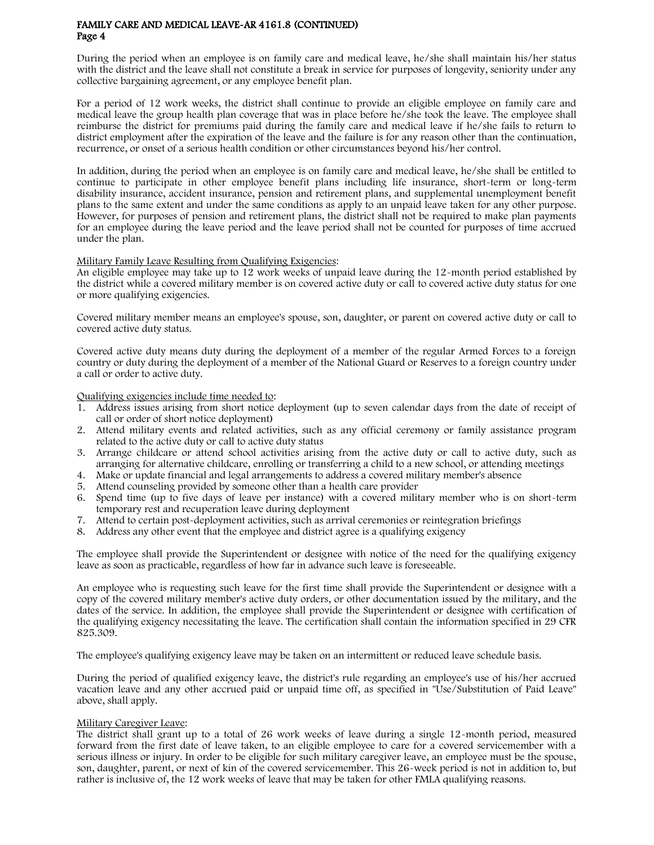During the period when an employee is on family care and medical leave, he/she shall maintain his/her status with the district and the leave shall not constitute a break in service for purposes of longevity, seniority under any collective bargaining agreement, or any employee benefit plan.

For a period of 12 work weeks, the district shall continue to provide an eligible employee on family care and medical leave the group health plan coverage that was in place before he/she took the leave. The employee shall reimburse the district for premiums paid during the family care and medical leave if he/she fails to return to district employment after the expiration of the leave and the failure is for any reason other than the continuation, recurrence, or onset of a serious health condition or other circumstances beyond his/her control.

In addition, during the period when an employee is on family care and medical leave, he/she shall be entitled to continue to participate in other employee benefit plans including life insurance, short-term or long-term disability insurance, accident insurance, pension and retirement plans, and supplemental unemployment benefit plans to the same extent and under the same conditions as apply to an unpaid leave taken for any other purpose. However, for purposes of pension and retirement plans, the district shall not be required to make plan payments for an employee during the leave period and the leave period shall not be counted for purposes of time accrued under the plan.

## Military Family Leave Resulting from Qualifying Exigencies:

An eligible employee may take up to 12 work weeks of unpaid leave during the 12-month period established by the district while a covered military member is on covered active duty or call to covered active duty status for one or more qualifying exigencies.

Covered military member means an employee's spouse, son, daughter, or parent on covered active duty or call to covered active duty status.

Covered active duty means duty during the deployment of a member of the regular Armed Forces to a foreign country or duty during the deployment of a member of the National Guard or Reserves to a foreign country under a call or order to active duty.

Qualifying exigencies include time needed to:

- 1. Address issues arising from short notice deployment (up to seven calendar days from the date of receipt of call or order of short notice deployment)
- 2. Attend military events and related activities, such as any official ceremony or family assistance program related to the active duty or call to active duty status
- 3. Arrange childcare or attend school activities arising from the active duty or call to active duty, such as arranging for alternative childcare, enrolling or transferring a child to a new school, or attending meetings
- 4. Make or update financial and legal arrangements to address a covered military member's absence
- 5. Attend counseling provided by someone other than a health care provider
- 6. Spend time (up to five days of leave per instance) with a covered military member who is on short-term temporary rest and recuperation leave during deployment
- 7. Attend to certain post-deployment activities, such as arrival ceremonies or reintegration briefings
- 8. Address any other event that the employee and district agree is a qualifying exigency

The employee shall provide the Superintendent or designee with notice of the need for the qualifying exigency leave as soon as practicable, regardless of how far in advance such leave is foreseeable.

An employee who is requesting such leave for the first time shall provide the Superintendent or designee with a copy of the covered military member's active duty orders, or other documentation issued by the military, and the dates of the service. In addition, the employee shall provide the Superintendent or designee with certification of the qualifying exigency necessitating the leave. The certification shall contain the information specified in 29 CFR [825.309.](http://www.gamutonline.net/displayPolicy/120647/4) 

The employee's qualifying exigency leave may be taken on an intermittent or reduced leave schedule basis.

During the period of qualified exigency leave, the district's rule regarding an employee's use of his/her accrued vacation leave and any other accrued paid or unpaid time off, as specified in "Use/Substitution of Paid Leave" above, shall apply.

#### Military Caregiver Leave:

The district shall grant up to a total of 26 work weeks of leave during a single 12-month period, measured forward from the first date of leave taken, to an eligible employee to care for a covered servicemember with a serious illness or injury. In order to be eligible for such military caregiver leave, an employee must be the spouse, son, daughter, parent, or next of kin of the covered servicemember. This 26-week period is not in addition to, but rather is inclusive of, the 12 work weeks of leave that may be taken for other FMLA qualifying reasons.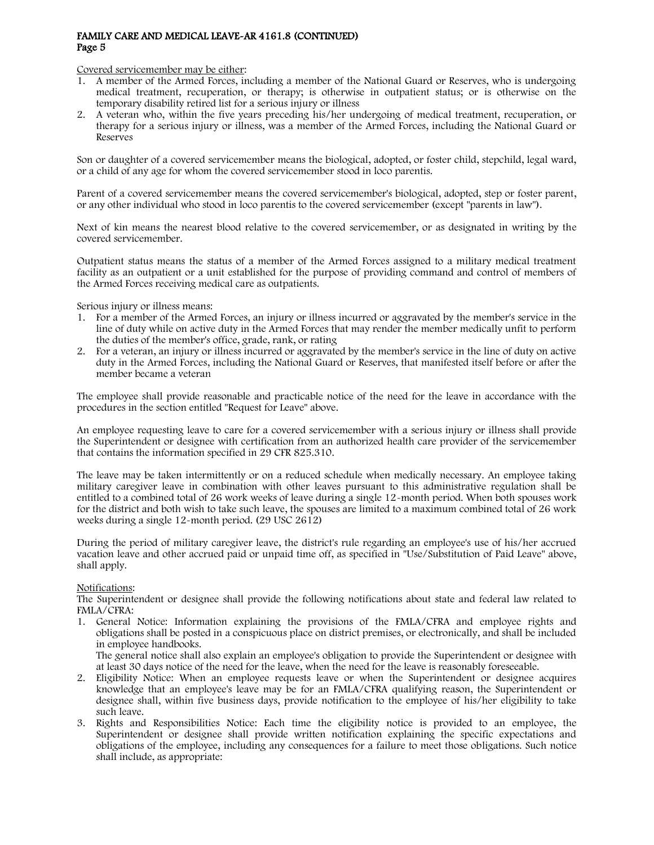Covered servicemember may be either:

- 1. A member of the Armed Forces, including a member of the National Guard or Reserves, who is undergoing medical treatment, recuperation, or therapy; is otherwise in outpatient status; or is otherwise on the temporary disability retired list for a serious injury or illness
- 2. A veteran who, within the five years preceding his/her undergoing of medical treatment, recuperation, or therapy for a serious injury or illness, was a member of the Armed Forces, including the National Guard or Reserves

Son or daughter of a covered servicemember means the biological, adopted, or foster child, stepchild, legal ward, or a child of any age for whom the covered servicemember stood in loco parentis.

Parent of a covered servicemember means the covered servicemember's biological, adopted, step or foster parent, or any other individual who stood in loco parentis to the covered servicemember (except "parents in law").

Next of kin means the nearest blood relative to the covered servicemember, or as designated in writing by the covered servicemember.

Outpatient status means the status of a member of the Armed Forces assigned to a military medical treatment facility as an outpatient or a unit established for the purpose of providing command and control of members of the Armed Forces receiving medical care as outpatients.

Serious injury or illness means:

- 1. For a member of the Armed Forces, an injury or illness incurred or aggravated by the member's service in the line of duty while on active duty in the Armed Forces that may render the member medically unfit to perform the duties of the member's office, grade, rank, or rating
- 2. For a veteran, an injury or illness incurred or aggravated by the member's service in the line of duty on active duty in the Armed Forces, including the National Guard or Reserves, that manifested itself before or after the member became a veteran

The employee shall provide reasonable and practicable notice of the need for the leave in accordance with the procedures in the section entitled "Request for Leave" above.

An employee requesting leave to care for a covered servicemember with a serious injury or illness shall provide the Superintendent or designee with certification from an authorized health care provider of the servicemember that contains the information specified in 29 CFR [825.310.](http://www.gamutonline.net/displayPolicy/120648/4)

The leave may be taken intermittently or on a reduced schedule when medically necessary. An employee taking military caregiver leave in combination with other leaves pursuant to this administrative regulation shall be entitled to a combined total of 26 work weeks of leave during a single 12-month period. When both spouses work for the district and both wish to take such leave, the spouses are limited to a maximum combined total of 26 work weeks during a single 12-month period. (29 USC [2612\)](http://www.gamutonline.net/displayPolicy/190947/4)

During the period of military caregiver leave, the district's rule regarding an employee's use of his/her accrued vacation leave and other accrued paid or unpaid time off, as specified in "Use/Substitution of Paid Leave" above, shall apply.

#### Notifications:

The Superintendent or designee shall provide the following notifications about state and federal law related to FMLA/CFRA:

1. General Notice: Information explaining the provisions of the FMLA/CFRA and employee rights and obligations shall be posted in a conspicuous place on district premises, or electronically, and shall be included in employee handbooks.

The general notice shall also explain an employee's obligation to provide the Superintendent or designee with at least 30 days notice of the need for the leave, when the need for the leave is reasonably foreseeable.

- 2. Eligibility Notice: When an employee requests leave or when the Superintendent or designee acquires knowledge that an employee's leave may be for an FMLA/CFRA qualifying reason, the Superintendent or designee shall, within five business days, provide notification to the employee of his/her eligibility to take such leave.
- 3. Rights and Responsibilities Notice: Each time the eligibility notice is provided to an employee, the Superintendent or designee shall provide written notification explaining the specific expectations and obligations of the employee, including any consequences for a failure to meet those obligations. Such notice shall include, as appropriate: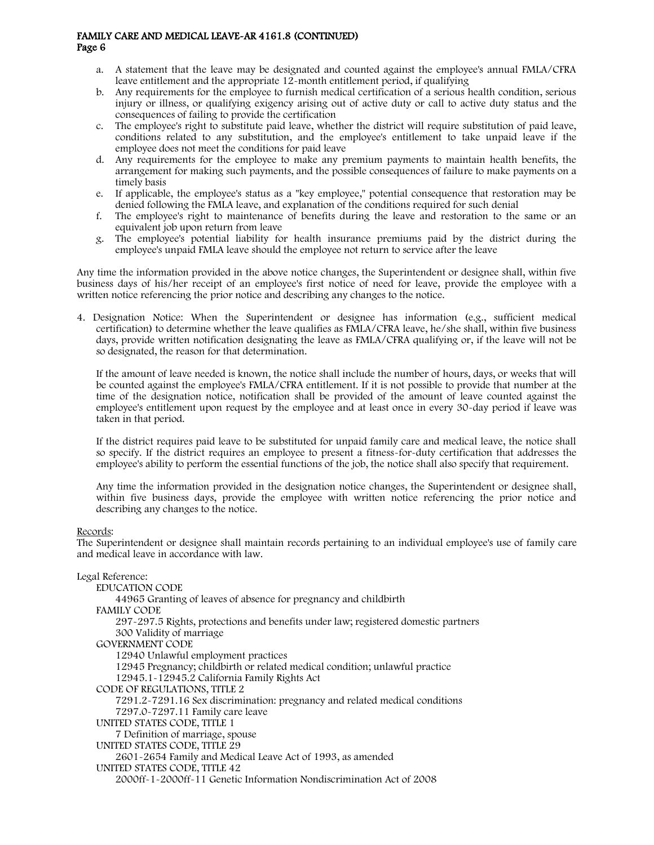- a. A statement that the leave may be designated and counted against the employee's annual FMLA/CFRA leave entitlement and the appropriate 12-month entitlement period, if qualifying
- b. Any requirements for the employee to furnish medical certification of a serious health condition, serious injury or illness, or qualifying exigency arising out of active duty or call to active duty status and the consequences of failing to provide the certification
- c. The employee's right to substitute paid leave, whether the district will require substitution of paid leave, conditions related to any substitution, and the employee's entitlement to take unpaid leave if the employee does not meet the conditions for paid leave
- d. Any requirements for the employee to make any premium payments to maintain health benefits, the arrangement for making such payments, and the possible consequences of failure to make payments on a timely basis
- e. If applicable, the employee's status as a "key employee," potential consequence that restoration may be denied following the FMLA leave, and explanation of the conditions required for such denial
- f. The employee's right to maintenance of benefits during the leave and restoration to the same or an equivalent job upon return from leave
- g. The employee's potential liability for health insurance premiums paid by the district during the employee's unpaid FMLA leave should the employee not return to service after the leave

Any time the information provided in the above notice changes, the Superintendent or designee shall, within five business days of his/her receipt of an employee's first notice of need for leave, provide the employee with a written notice referencing the prior notice and describing any changes to the notice.

4. Designation Notice: When the Superintendent or designee has information (e.g., sufficient medical certification) to determine whether the leave qualifies as FMLA/CFRA leave, he/she shall, within five business days, provide written notification designating the leave as FMLA/CFRA qualifying or, if the leave will not be so designated, the reason for that determination.

If the amount of leave needed is known, the notice shall include the number of hours, days, or weeks that will be counted against the employee's FMLA/CFRA entitlement. If it is not possible to provide that number at the time of the designation notice, notification shall be provided of the amount of leave counted against the employee's entitlement upon request by the employee and at least once in every 30-day period if leave was taken in that period.

If the district requires paid leave to be substituted for unpaid family care and medical leave, the notice shall so specify. If the district requires an employee to present a fitness-for-duty certification that addresses the employee's ability to perform the essential functions of the job, the notice shall also specify that requirement.

Any time the information provided in the designation notice changes, the Superintendent or designee shall, within five business days, provide the employee with written notice referencing the prior notice and describing any changes to the notice.

#### Records:

The Superintendent or designee shall maintain records pertaining to an individual employee's use of family care and medical leave in accordance with law.

#### Legal Reference:

EDUCATION CODE [44965](http://www.gamutonline.net/displayPolicy/131073/4) Granting of leaves of absence for pregnancy and childbirth FAMILY CODE [297](http://www.gamutonline.net/displayPolicy/327555/4)[-297.5](http://www.gamutonline.net/displayPolicy/327556/4) Rights, protections and benefits under law; registered domestic partners [300](http://www.gamutonline.net/displayPolicy/622236/4) Validity of marriage GOVERNMENT CODE [12940](http://www.gamutonline.net/displayPolicy/146260/4) Unlawful employment practices [12945](http://www.gamutonline.net/displayPolicy/146412/4) Pregnancy; childbirth or related medical condition; unlawful practice [12945.1](http://www.gamutonline.net/displayPolicy/211120/4)[-12945.2](http://www.gamutonline.net/displayPolicy/144662/4) California Family Rights Act CODE OF REGULATIONS, TITLE 2 [7291.2](http://www.gamutonline.net/displayPolicy/367983/4)[-7291.16](http://www.gamutonline.net/displayPolicy/367969/4) Sex discrimination: pregnancy and related medical conditions [7297.0](http://www.gamutonline.net/displayPolicy/367968/4)[-7297.11](http://www.gamutonline.net/displayPolicy/367957/4) Family care leave UNITED STATES CODE, TITLE 1 7 Definition of marriage, spouse UNITED STATES CODE, TITLE 29 [2601](http://www.gamutonline.net/displayPolicy/190945/4)[-2654](http://www.gamutonline.net/displayPolicy/190964/4) Family and Medical Leave Act of 1993, as amended UNITED STATES CODE, TITLE 42 [2000ff-](http://www.gamutonline.net/displayPolicy/605600/4)1-2000ff-11 Genetic Information Nondiscrimination Act of 2008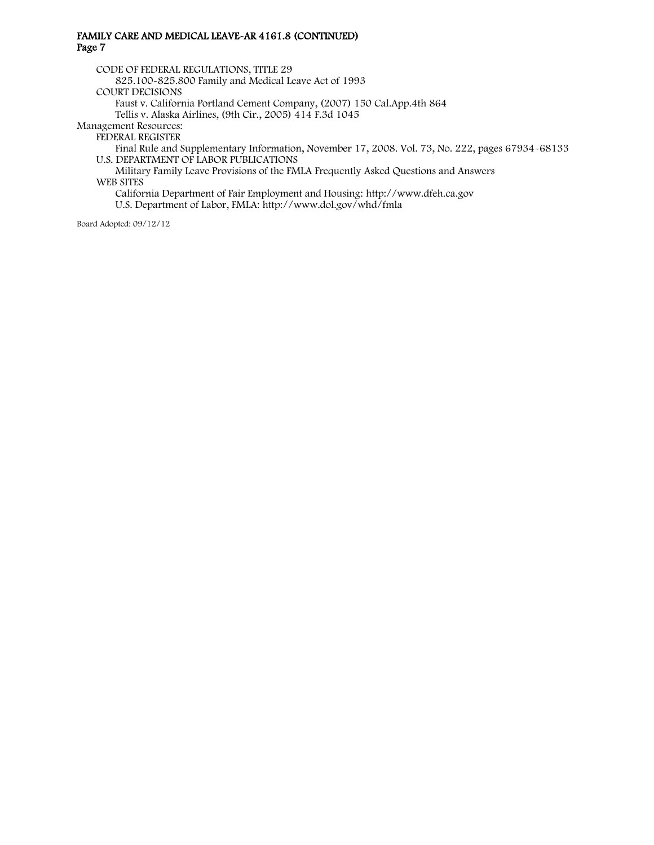CODE OF FEDERAL REGULATIONS, TITLE 29

[825.100](http://www.gamutonline.net/displayPolicy/558805/4)[-825.800](http://www.gamutonline.net/displayPolicy/120665/4) Family and Medical Leave Act of 1993 COURT DECISIONS

Faust v. California Portland Cement Company, (2007) 150 Cal.App.4th 864

Tellis v. Alaska Airlines, (9th Cir., 2005) 414 F.3d 1045

Management Resources:

FEDERAL REGISTER

Final Rule and Supplementary Information, November 17, 2008. Vol. 73, No. 222, pages 67934-68133 U.S. DEPARTMENT OF LABOR PUBLICATIONS

Military Family Leave Provisions of the FMLA Frequently Asked Questions and Answers WEB SITES

California Department of Fair Employment and Housing[: http://www.dfeh.ca.gov](http://www.dfeh.ca.gov/) U.S. Department of Labor, FMLA[: http://www.dol.gov/whd/fmla](http://www.dol.gov/whd/fmla)

Board Adopted: 09/12/12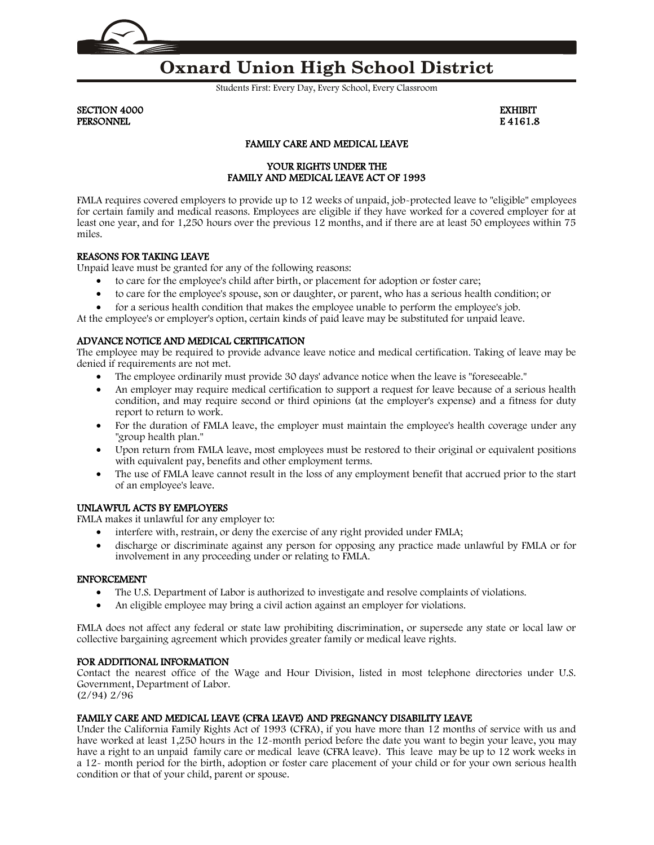

# **Oxnard Union High School District**

Students First: Every Day, Every School, Every Classroom

SECTION 4000 EXHIBIT PERSONNEL Example to the contract of the contract of the contract of the contract of the contract of the contract of the contract of the contract of the contract of the contract of the contract of the contract of the contr

# FAMILY CARE AND MEDICAL LEAVE

# YOUR RIGHTS UNDER THE FAMILY AND MEDICAL LEAVE ACT OF 1993

FMLA requires covered employers to provide up to 12 weeks of unpaid, job-protected leave to "eligible" employees for certain family and medical reasons. Employees are eligible if they have worked for a covered employer for at least one year, and for 1,250 hours over the previous 12 months, and if there are at least 50 employees within 75 miles.

# REASONS FOR TAKING LEAVE

Unpaid leave must be granted for any of the following reasons:

- to care for the employee's child after birth, or placement for adoption or foster care;
- to care for the employee's spouse, son or daughter, or parent, who has a serious health condition; or
- for a serious health condition that makes the employee unable to perform the employee's job.

At the employee's or employer's option, certain kinds of paid leave may be substituted for unpaid leave.

# ADVANCE NOTICE AND MEDICAL CERTIFICATION

The employee may be required to provide advance leave notice and medical certification. Taking of leave may be denied if requirements are not met.

- The employee ordinarily must provide 30 days' advance notice when the leave is "foreseeable."
- An employer may require medical certification to support a request for leave because of a serious health condition, and may require second or third opinions (at the employer's expense) and a fitness for duty report to return to work.
- For the duration of FMLA leave, the employer must maintain the employee's health coverage under any "group health plan."
- Upon return from FMLA leave, most employees must be restored to their original or equivalent positions with equivalent pay, benefits and other employment terms.
- The use of FMLA leave cannot result in the loss of any employment benefit that accrued prior to the start of an employee's leave.

# UNLAWFUL ACTS BY EMPLOYERS

FMLA makes it unlawful for any employer to:

- interfere with, restrain, or deny the exercise of any right provided under FMLA;
- discharge or discriminate against any person for opposing any practice made unlawful by FMLA or for involvement in any proceeding under or relating to FMLA.

#### ENFORCEMENT

- The U.S. Department of Labor is authorized to investigate and resolve complaints of violations.
- An eligible employee may bring a civil action against an employer for violations.

FMLA does not affect any federal or state law prohibiting discrimination, or supersede any state or local law or collective bargaining agreement which provides greater family or medical leave rights.

#### FOR ADDITIONAL INFORMATION

Contact the nearest office of the Wage and Hour Division, listed in most telephone directories under U.S. Government, Department of Labor.

(2/94) 2/96

# FAMILY CARE AND MEDICAL LEAVE (CFRA LEAVE) AND PREGNANCY DISABILITY LEAVE

Under the California Family Rights Act of 1993 (CFRA), if you have more than 12 months of service with us and have worked at least 1,250 hours in the 12-month period before the date you want to begin your leave, you may have a right to an unpaid family care or medical leave (CFRA leave). This leave may be up to 12 work weeks in a 12- month period for the birth, adoption or foster care placement of your child or for your own serious health condition or that of your child, parent or spouse.